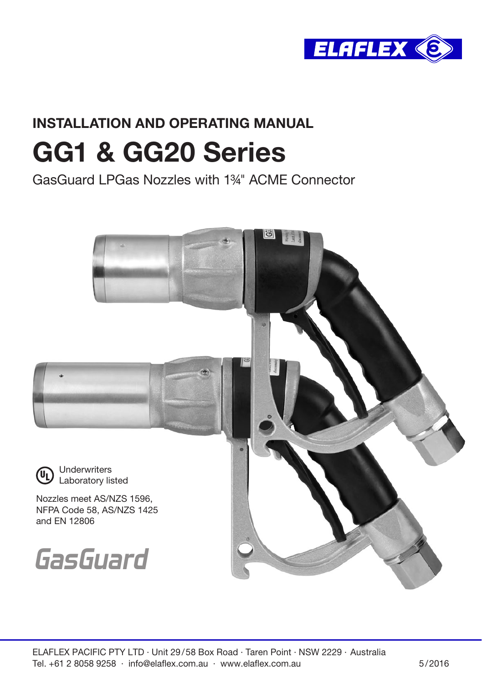

# INSTALLATION AND OPERATING MANUAL GG1 & GG20 Series

GasGuard LPGas Nozzles with 1¾" ACME Connector

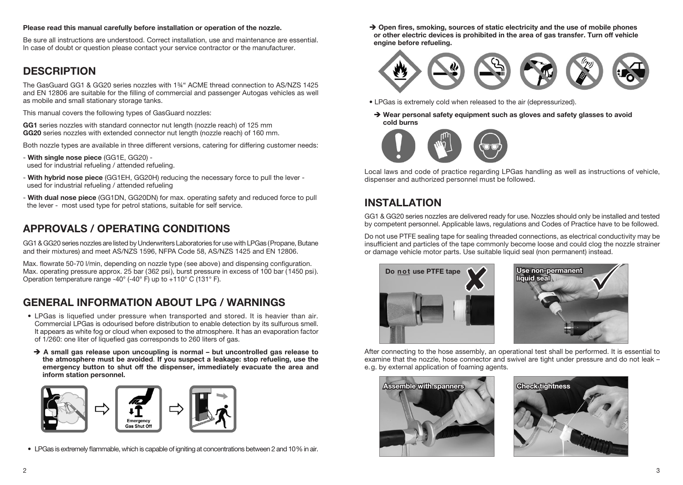#### Please read this manual carefully before installation or operation of the nozzle.

Be sure all instructions are understood. Correct installation, use and maintenance are essential. In case of doubt or question please contact your service contractor or the manufacturer.

#### **DESCRIPTION**

The GasGuard GG1 & GG20 series nozzles with 1¾" ACME thread connection to AS/NZS 1425 and EN 12806 are suitable for the filling of commercial and passenger Autogas vehicles as well as mobile and small stationary storage tanks.

This manual covers the following types of GasGuard nozzles:

GG1 series nozzles with standard connector nut length (nozzle reach) of 125 mm GG20 series nozzles with extended connector nut length (nozzle reach) of 160 mm.

Both nozzle types are available in three different versions, catering for differing customer needs:

- With single nose piece (GG1E, GG20) used for industrial refueling / attended refueling.
- With hybrid nose piece (GG1EH, GG20H) reducing the necessary force to pull the lever used for industrial refueling / attended refueling
- With dual nose piece (GG1DN, GG20DN) for max. operating safety and reduced force to pull the lever - most used type for petrol stations, suitable for self service.

# APPROVALS / OPERATING CONDITIONS

GG1 & GG20 series nozzles are listed by Underwriters Laboratories for use with LPGas (Propane, Butane and their mixtures) and meet AS/NZS 1596, NFPA Code 58, AS/NZS 1425 and EN 12806.

Max. flowrate 50-70 l/min, depending on nozzle type (see above) and dispensing configuration. Max. operating pressure approx. 25 bar (362 psi), burst pressure in excess of 100 bar (1450 psi). Operation temperature range -40° (-40° F) up to +110° C (131° F).

# GENERAL INFORMATION ABOUT LPG / WARNINGS

- LPGas is liquefied under pressure when transported and stored. It is heavier than air. Commercial LPGas is odourised before distribution to enable detection by its sulfurous smell. It appears as white fog or cloud when exposed to the atmosphere. It has an evaporation factor of 1/260: one liter of liquefied gas corresponds to 260 liters of gas.
- $\rightarrow$  A small gas release upon uncoupling is normal but uncontrolled gas release to the atmosphere must be avoided. If you suspect a leakage: stop refueling, use the emergency button to shut off the dispenser, immediately evacuate the area and inform station personnel.



• LPGas is extremely flammable, which is capable of igniting at concentrations between 2 and 10% in air.

 $\rightarrow$  Open fires, smoking, sources of static electricity and the use of mobile phones or other electric devices is prohibited in the area of gas transfer. Turn off vehicle engine before refueling.



- LPGas is extremely cold when released to the air (depressurized).
- $\rightarrow$  Wear personal safety equipment such as gloves and safety glasses to avoid cold burns



Local laws and code of practice regarding LPGas handling as well as instructions of vehicle, dispenser and authorized personnel must be followed.

# INSTAL LATION

GG1 & GG20 series nozzles are delivered ready for use. Nozzles should only be installed and tested by competent personnel. Applicable laws, regulations and Codes of Practice have to be followed.

Do not use PTFE sealing tape for sealing threaded connections, as electrical conductivity may be insufficient and particles of the tape commonly become loose and could clog the nozzle strainer or damage vehicle motor parts. Use suitable liquid seal (non permanent) instead.





After connecting to the hose assembly, an operational test shall be performed. It is essential to examine that the nozzle, hose connector and swivel are tight under pressure and do not leak – e.g. by external application of foaming agents.



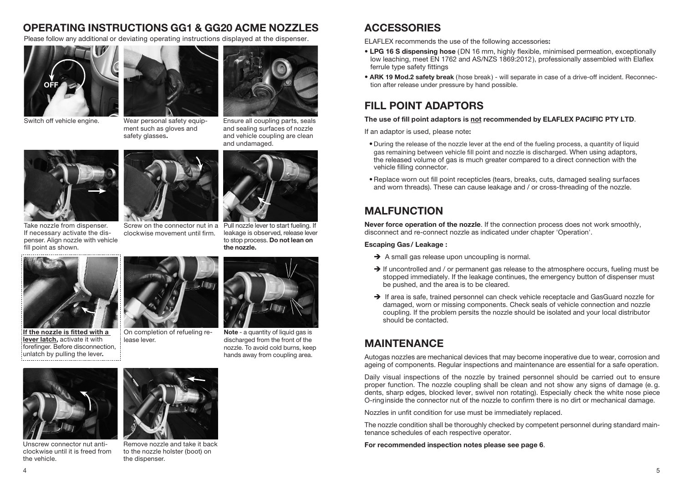#### OPERATING INSTRUCTIONS GG1 & GG20 ACME NOZZLES ACCESSORIES

Please follow any additional or deviating operating instructions displayed at the dispenser.



Switch off vehicle engine.



Wear personal safety equipment such as gloves and safety glasses.





Take nozzle from dispenser. If necessary activate the dispenser. Align nozzle with vehicle fill point as shown.



clockwise movement until firm.

Screw on the connector nut in a Pull nozzle lever to start fueling. If leakage is observed, release lever to stop process. Do not lean on the nozzle.



If the nozzle is fitted with a lever latch, activate it with forefinger. Before disconnection, unlatch by pulling the lever.



On completion of refueling release lever.



Note - a quantity of liquid gas is discharged from the front of the nozzle. To avoid cold burns, keep hands away from coupling area.

Unscrew connector nut anticlockwise until it is freed from the vehicle.



Remove nozzle and take it back to the nozzle holster (boot) on the dispenser.



ELAFLEX recommends the use of the following accessories:

- LPG 16 S dispensing hose (DN 16 mm, highly flexible, minimised permeation, exceptionally low leaching, meet EN 1762 and AS/NZS 1869:2012), professionally assembled with Elaflex ferrule type safety fittings
- ARK 19 Mod.2 safety break (hose break) will separate in case of a drive-off incident. Reconnection after release under pressure by hand possible.

# FILL POINT ADAPTORS

#### The use of fill point adaptors is not recommended by ELAFLEX PACIFIC PTY LTD.

If an adaptor is used, please note:

- During the release of the nozzle lever at the end of the fueling process, a quantity of liquid gas remaining between vehicle fill point and nozzle is discharged. When using adaptors, the released volume of gas is much greater compared to a direct connection with the vehicle filling connector.
- •Replace worn out fill point recepticles (tears, breaks, cuts, damaged sealing surfaces and worn threads). These can cause leakage and / or cross-threading of the nozzle.

# MALFUNCTION

Never force operation of the nozzle. If the connection process does not work smoothly, disconnect and re-connect nozzle as indicated under chapter 'Operation'.

#### Escaping Gas/ Leakage :

- $\rightarrow$  A small gas release upon uncoupling is normal.
- $\rightarrow$  If uncontrolled and / or permanent gas release to the atmosphere occurs, fueling must be stopped immediately. If the leakage continues, the emergency button of dispenser must be pushed, and the area is to be cleared.
- $\rightarrow$  If area is safe, trained personnel can check vehicle receptacle and GasGuard nozzle for damaged, worn or missing components. Check seals of vehicle connection and nozzle coupling. If the problem persits the nozzle should be isolated and your local distributor should be contacted.

# MAINTENANCE

Autogas nozzles are mechanical devices that may become inoperative due to wear, corrosion and ageing of components. Regular inspections and maintenance are essential for a safe operation.

Daily visual inspections of the nozzle by trained personnel should be carried out to ensure proper function. The nozzle coupling shall be clean and not show any signs of damage (e. g. dents, sharp edges, blocked lever, swivel non rotating). Especially check the white nose piece O-ringinside the connector nut of the nozzle to confirm there is no dirt or mechanical damage.

Nozzles in unfit condition for use must be immediately replaced.

The nozzle condition shall be thoroughly checked by competent personnel during standard maintenance schedules of each respective operator.

For recommended inspection notes please see page 6.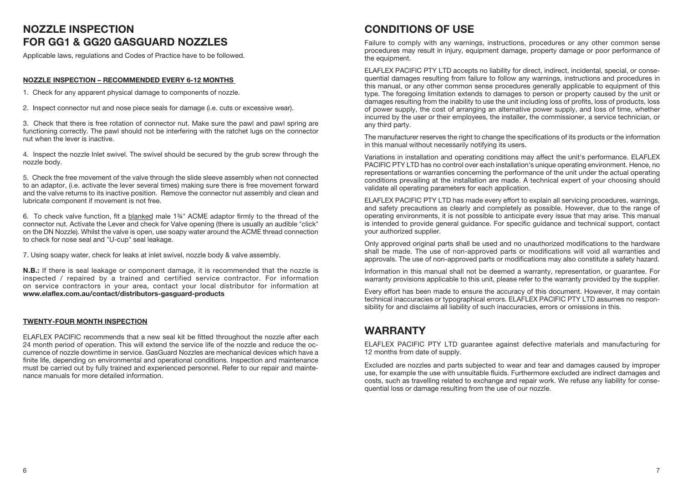# NOZZLE INSPECTION FOR GG1 & GG20 GASGUARD NOZZLES

Applicable laws, regulations and Codes of Practice have to be followed.

#### NOZZLE INSPECTION – RECOMMENDED EVERY 6-12 MONTHS

1. Check for any apparent physical damage to components of nozzle.

2. Inspect connector nut and nose piece seals for damage (i.e. cuts or excessive wear).

3. Check that there is free rotation of connector nut. Make sure the pawl and pawl spring are functioning correctly. The pawl should not be interfering with the ratchet lugs on the connector nut when the lever is inactive.

4. Inspect the nozzle Inlet swivel. The swivel should be secured by the grub screw through the nozzle body.

5. Check the free movement of the valve through the slide sleeve assembly when not connected to an adaptor, (i.e. activate the lever several times) making sure there is free movement forward and the valve returns to its inactive position. Remove the connector nut assembly and clean and lubricate component if movement is not free.

6. To check valve function, fit a blanked male 1¾" ACME adaptor firmly to the thread of the connector nut. Activate the Lever and check for Valve opening (there is usually an audible "click" on the DN Nozzle). Whilst the valve is open, use soapy water around the ACME thread connection to check for nose seal and "U-cup" seal leakage.

7. Using soapy water, check for leaks at inlet swivel, nozzle body & valve assembly.

**N.B.:** If there is seal leakage or component damage, it is recommended that the nozzle is inspected / repaired by a trained and certified service contractor. For information on service contractors in your area, contact your local distributor for information at www.elaflex.com.au/contact/distributors-gasguard-products

#### TWENTY-FOUR MONTH INSPECTION

ELAFLEX PACIFIC recommends that a new seal kit be fitted throughout the nozzle after each 24 month period of operation. This will extend the service life of the nozzle and reduce the occurrence of nozzle downtime in service. GasGuard Nozzles are mechanical devices which have a finite life, depending on environmental and operational conditions. Inspection and maintenance must be carried out by fully trained and experienced personnel. Refer to our repair and maintenance manuals for more detailed information.

#### CONDITIONS OF USE

Failure to comply with any warnings, instructions, procedures or any other common sense procedures may result in injury, equipment damage, property damage or poor performance of the equipment.

ELAFLEX PACIFIC PTY LTD accepts no liability for direct, indirect, incidental, special, or consequential damages resulting from failure to follow any warnings, instructions and procedures in this manual, or any other common sense procedures generally applicable to equipment of this type. The foregoing limitation extends to damages to person or property caused by the unit or damages resulting from the inability to use the unit including loss of profits, loss of products, loss of power supply, the cost of arranging an alternative power supply, and loss of time, whether incurred by the user or their employees, the installer, the commissioner, a service technician, or any third party.

The manufacturer reserves the right to change the specifications of its products or the information in this manual without necessarily notifying its users.

Variations in installation and operating conditions may affect the unit's performance. ELAFLEX PACIFIC PTY LTD has no control over each installation's unique operating environment. Hence, no representations or warranties concerning the performance of the unit under the actual operating conditions prevailing at the installation are made. A technical expert of your choosing should validate all operating parameters for each application.

ELAFLEX PACIFIC PTY LTD has made every effort to explain all servicing procedures, warnings, and safety precautions as clearly and completely as possible. However, due to the range of operating environments, it is not possible to anticipate every issue that may arise. This manual is intended to provide general guidance. For specific guidance and technical support, contact your authorized supplier.

Only approved original parts shall be used and no unauthorized modifications to the hardware shall be made. The use of non-approved parts or modifications will void all warranties and approvals. The use of non-approved parts or modifications may also constitute a safety hazard.

Information in this manual shall not be deemed a warranty, representation, or guarantee. For warranty provisions applicable to this unit, please refer to the warranty provided by the supplier.

Every effort has been made to ensure the accuracy of this document. However, it may contain technical inaccuracies or typographical errors. ELAFLEX PACIFIC PTY LTD assumes no responsibility for and disclaims all liability of such inaccuracies, errors or omissions in this.

#### WARRANTY

ELAFLEX PACIFIC PTY LTD guarantee against defective materials and manufacturing for 12 months from date of supply.

Excluded are nozzles and parts subjected to wear and tear and damages caused by improper use, for example the use with unsuitable fluids. Furthermore excluded are indirect damages and costs, such as travelling related to exchange and repair work. We refuse any liability for consequential loss or damage resulting from the use of our nozzle.